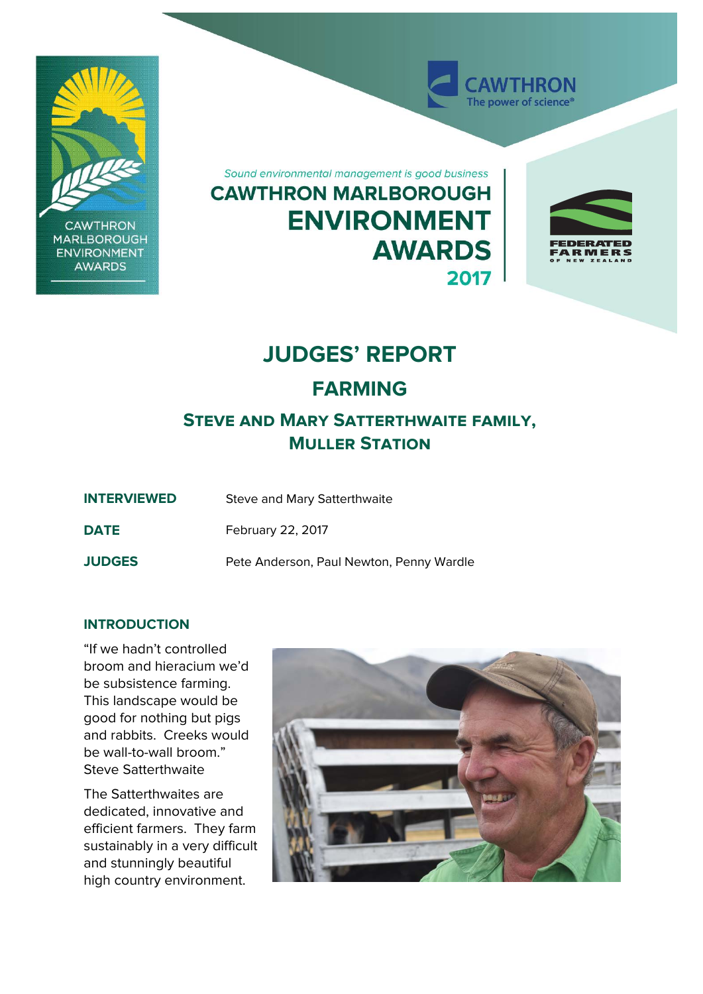

**CAWTHRON MARLBOROUGH ENVIRONMENT AWARDS** 

Sound environmental management is good business **CAWTHRON MARLBOROUGH ENVIRONMENT AWARDS** 2017



**WTHRON** The power of science<sup>®</sup>

# **JUDGES' REPORT**

# **FARMING**

# **Steve and Mary Satterthwaite family, Muller Station**

| <b>INTERVIEWED</b> | Steve and Mary Satterthwaite |
|--------------------|------------------------------|
|                    |                              |

**DATE** February 22, 2017

**JUDGES** Pete Anderson, Paul Newton, Penny Wardle

# **INTRODUCTION**

"If we hadn't controlled broom and hieracium we'd be subsistence farming. This landscape would be good for nothing but pigs and rabbits. Creeks would be wall-to-wall broom." Steve Satterthwaite

The Satterthwaites are dedicated, innovative and efficient farmers. They farm sustainably in a very difficult and stunningly beautiful high country environment.

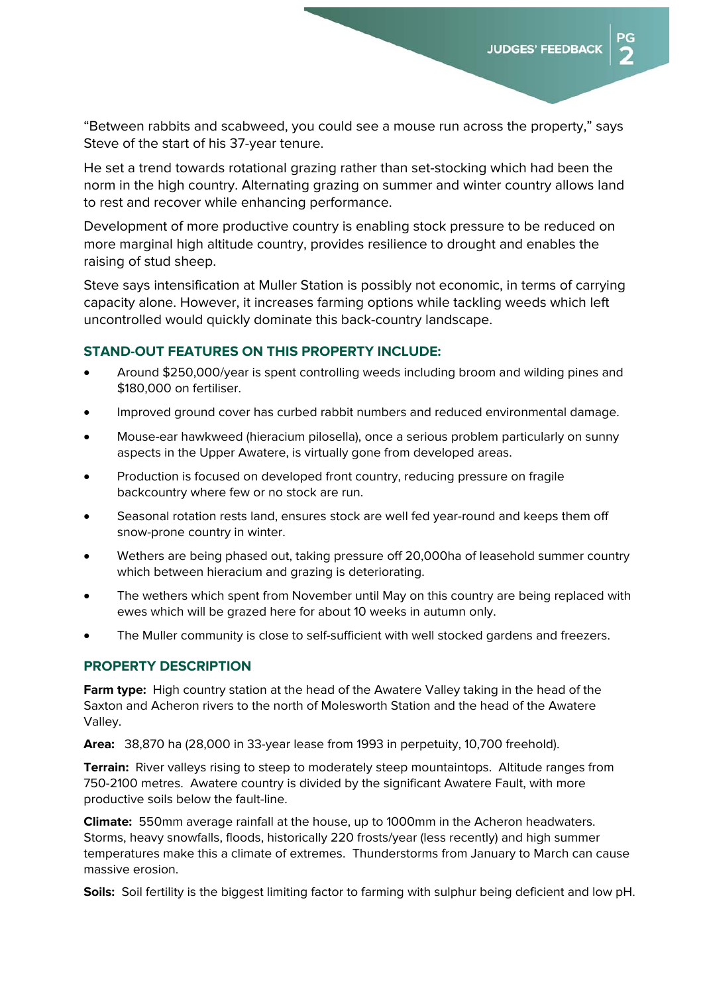DС

"Between rabbits and scabweed, you could see a mouse run across the property," says Steve of the start of his 37-year tenure.

He set a trend towards rotational grazing rather than set-stocking which had been the norm in the high country. Alternating grazing on summer and winter country allows land to rest and recover while enhancing performance.

Development of more productive country is enabling stock pressure to be reduced on more marginal high altitude country, provides resilience to drought and enables the raising of stud sheep.

Steve says intensification at Muller Station is possibly not economic, in terms of carrying capacity alone. However, it increases farming options while tackling weeds which left uncontrolled would quickly dominate this back-country landscape.

#### **STAND-OUT FEATURES ON THIS PROPERTY INCLUDE:**

- Around \$250,000/year is spent controlling weeds including broom and wilding pines and \$180,000 on fertiliser.
- Improved ground cover has curbed rabbit numbers and reduced environmental damage.
- Mouse-ear hawkweed (hieracium pilosella), once a serious problem particularly on sunny aspects in the Upper Awatere, is virtually gone from developed areas.
- Production is focused on developed front country, reducing pressure on fragile backcountry where few or no stock are run.
- Seasonal rotation rests land, ensures stock are well fed year-round and keeps them off snow-prone country in winter.
- Wethers are being phased out, taking pressure off 20,000ha of leasehold summer country which between hieracium and grazing is deteriorating.
- The wethers which spent from November until May on this country are being replaced with ewes which will be grazed here for about 10 weeks in autumn only.
- The Muller community is close to self-sufficient with well stocked gardens and freezers.

#### **PROPERTY DESCRIPTION**

**Farm type:** High country station at the head of the Awatere Valley taking in the head of the Saxton and Acheron rivers to the north of Molesworth Station and the head of the Awatere Valley.

**Area:** 38,870 ha (28,000 in 33-year lease from 1993 in perpetuity, 10,700 freehold).

**Terrain:** River valleys rising to steep to moderately steep mountaintops. Altitude ranges from 750-2100 metres. Awatere country is divided by the significant Awatere Fault, with more productive soils below the fault-line.

**Climate:** 550mm average rainfall at the house, up to 1000mm in the Acheron headwaters. Storms, heavy snowfalls, floods, historically 220 frosts/year (less recently) and high summer temperatures make this a climate of extremes. Thunderstorms from January to March can cause massive erosion.

**Soils:** Soil fertility is the biggest limiting factor to farming with sulphur being deficient and low pH.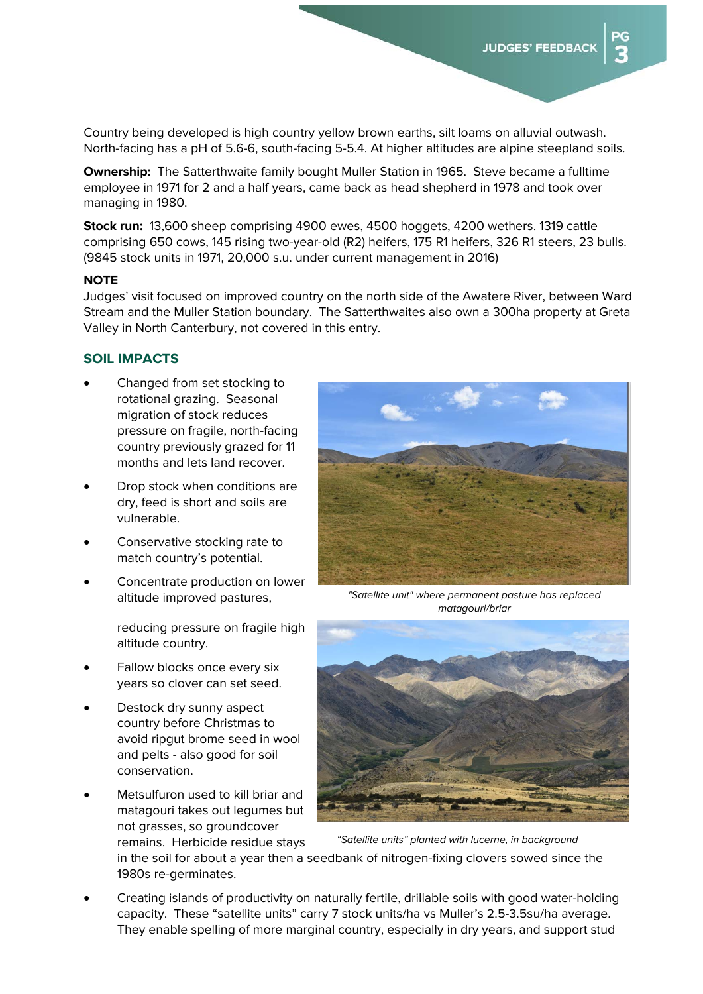эG

Country being developed is high country yellow brown earths, silt loams on alluvial outwash. North-facing has a pH of 5.6-6, south-facing 5-5.4. At higher altitudes are alpine steepland soils.

**Ownership:** The Satterthwaite family bought Muller Station in 1965. Steve became a fulltime employee in 1971 for 2 and a half years, came back as head shepherd in 1978 and took over managing in 1980.

**Stock run:** 13,600 sheep comprising 4900 ewes, 4500 hoggets, 4200 wethers. 1319 cattle comprising 650 cows, 145 rising two-year-old (R2) heifers, 175 R1 heifers, 326 R1 steers, 23 bulls. (9845 stock units in 1971, 20,000 s.u. under current management in 2016)

#### **NOTE**

Judges' visit focused on improved country on the north side of the Awatere River, between Ward Stream and the Muller Station boundary. The Satterthwaites also own a 300ha property at Greta Valley in North Canterbury, not covered in this entry.

#### **SOIL IMPACTS**

- Changed from set stocking to rotational grazing. Seasonal migration of stock reduces pressure on fragile, north-facing country previously grazed for 11 months and lets land recover.
- Drop stock when conditions are dry, feed is short and soils are vulnerable.
- Conservative stocking rate to match country's potential.
- Concentrate production on lower altitude improved pastures,

reducing pressure on fragile high altitude country.

- Fallow blocks once every six years so clover can set seed.
- Destock dry sunny aspect country before Christmas to avoid ripgut brome seed in wool and pelts - also good for soil conservation.
- Metsulfuron used to kill briar and matagouri takes out legumes but not grasses, so groundcover remains. Herbicide residue stays



*"Satellite unit" where permanent pasture has replaced matagouri/briar* 



*"Satellite units" planted with lucerne, in background*

in the soil for about a year then a seedbank of nitrogen-fixing clovers sowed since the 1980s re-germinates.

 Creating islands of productivity on naturally fertile, drillable soils with good water-holding capacity. These "satellite units" carry 7 stock units/ha vs Muller's 2.5-3.5su/ha average. They enable spelling of more marginal country, especially in dry years, and support stud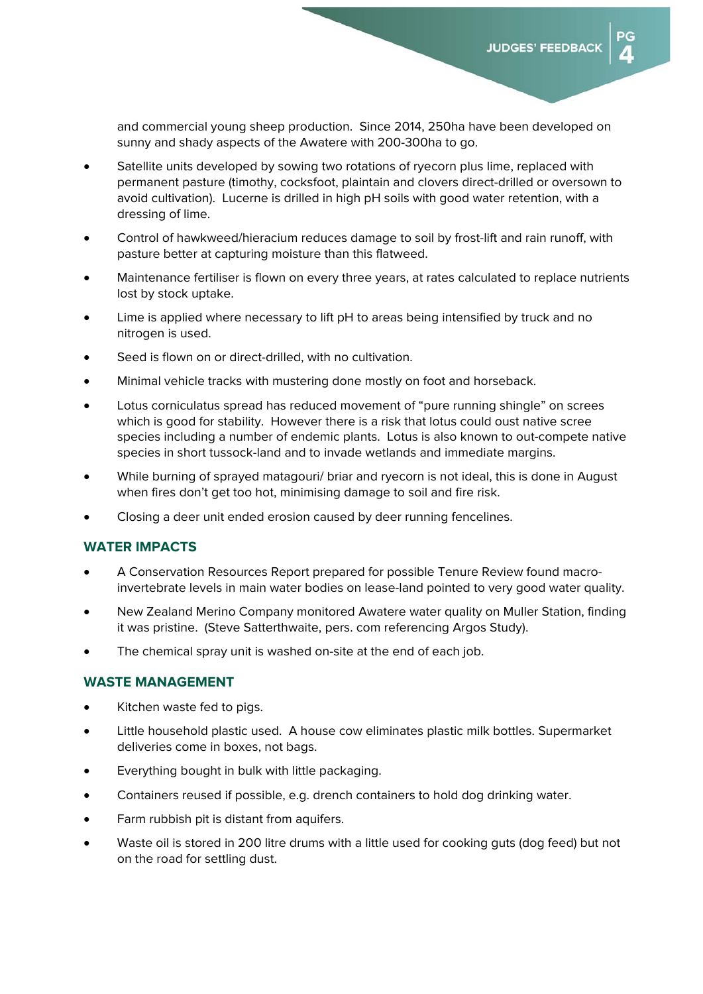and commercial young sheep production. Since 2014, 250ha have been developed on sunny and shady aspects of the Awatere with 200-300ha to go.

- Satellite units developed by sowing two rotations of ryecorn plus lime, replaced with permanent pasture (timothy, cocksfoot, plaintain and clovers direct-drilled or oversown to avoid cultivation). Lucerne is drilled in high pH soils with good water retention, with a dressing of lime.
- Control of hawkweed/hieracium reduces damage to soil by frost-lift and rain runoff, with pasture better at capturing moisture than this flatweed.
- Maintenance fertiliser is flown on every three years, at rates calculated to replace nutrients lost by stock uptake.
- Lime is applied where necessary to lift pH to areas being intensified by truck and no nitrogen is used.
- Seed is flown on or direct-drilled, with no cultivation.
- Minimal vehicle tracks with mustering done mostly on foot and horseback.
- Lotus corniculatus spread has reduced movement of "pure running shingle" on screes which is good for stability. However there is a risk that lotus could oust native scree species including a number of endemic plants. Lotus is also known to out-compete native species in short tussock-land and to invade wetlands and immediate margins.
- While burning of sprayed matagouri/ briar and ryecorn is not ideal, this is done in August when fires don't get too hot, minimising damage to soil and fire risk.
- Closing a deer unit ended erosion caused by deer running fencelines.

# **WATER IMPACTS**

- A Conservation Resources Report prepared for possible Tenure Review found macroinvertebrate levels in main water bodies on lease-land pointed to very good water quality.
- New Zealand Merino Company monitored Awatere water quality on Muller Station, finding it was pristine. (Steve Satterthwaite, pers. com referencing Argos Study).
- The chemical spray unit is washed on-site at the end of each job.

#### **WASTE MANAGEMENT**

- Kitchen waste fed to pigs.
- Little household plastic used. A house cow eliminates plastic milk bottles. Supermarket deliveries come in boxes, not bags.
- Everything bought in bulk with little packaging.
- Containers reused if possible, e.g. drench containers to hold dog drinking water.
- Farm rubbish pit is distant from aquifers.
- Waste oil is stored in 200 litre drums with a little used for cooking guts (dog feed) but not on the road for settling dust.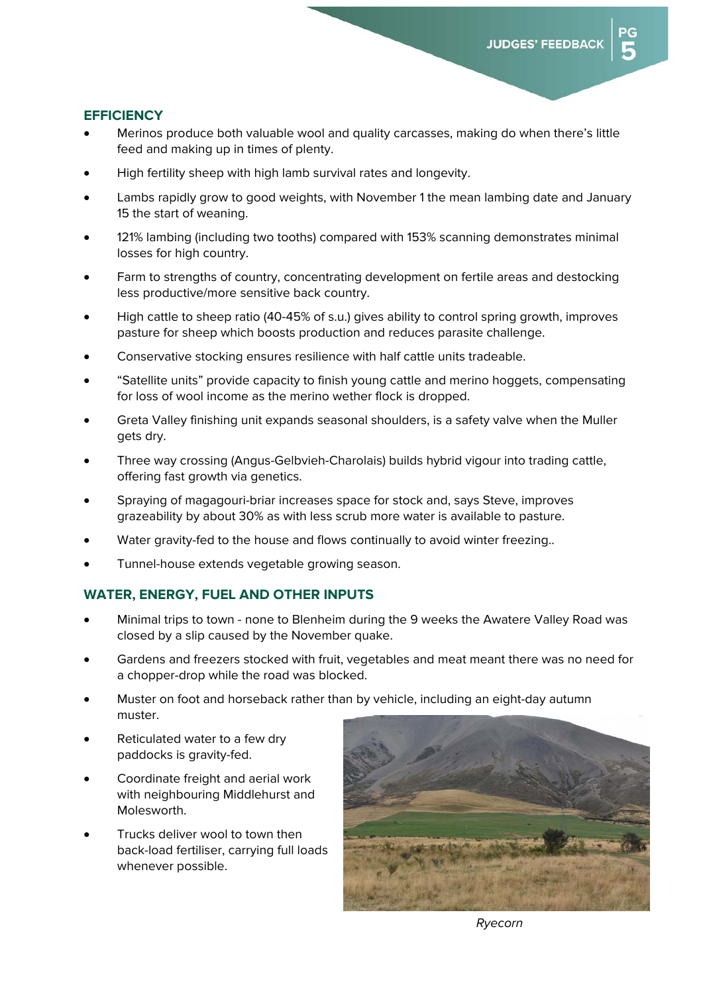#### **EFFICIENCY**

- Merinos produce both valuable wool and quality carcasses, making do when there's little feed and making up in times of plenty.
- High fertility sheep with high lamb survival rates and longevity.
- Lambs rapidly grow to good weights, with November 1 the mean lambing date and January 15 the start of weaning.
- 121% lambing (including two tooths) compared with 153% scanning demonstrates minimal losses for high country.
- Farm to strengths of country, concentrating development on fertile areas and destocking less productive/more sensitive back country.
- High cattle to sheep ratio (40-45% of s.u.) gives ability to control spring growth, improves pasture for sheep which boosts production and reduces parasite challenge.
- Conservative stocking ensures resilience with half cattle units tradeable.
- "Satellite units" provide capacity to finish young cattle and merino hoggets, compensating for loss of wool income as the merino wether flock is dropped.
- Greta Valley finishing unit expands seasonal shoulders, is a safety valve when the Muller gets dry.
- Three way crossing (Angus-Gelbvieh-Charolais) builds hybrid vigour into trading cattle, offering fast growth via genetics.
- Spraying of magagouri-briar increases space for stock and, says Steve, improves grazeability by about 30% as with less scrub more water is available to pasture.
- Water gravity-fed to the house and flows continually to avoid winter freezing..
- Tunnel-house extends vegetable growing season.

#### **WATER, ENERGY, FUEL AND OTHER INPUTS**

- Minimal trips to town none to Blenheim during the 9 weeks the Awatere Valley Road was closed by a slip caused by the November quake.
- Gardens and freezers stocked with fruit, vegetables and meat meant there was no need for a chopper-drop while the road was blocked.
- Muster on foot and horseback rather than by vehicle, including an eight-day autumn muster.
- Reticulated water to a few dry paddocks is gravity-fed.
- Coordinate freight and aerial work with neighbouring Middlehurst and Molesworth.
- Trucks deliver wool to town then back-load fertiliser, carrying full loads whenever possible.



*Ryecorn*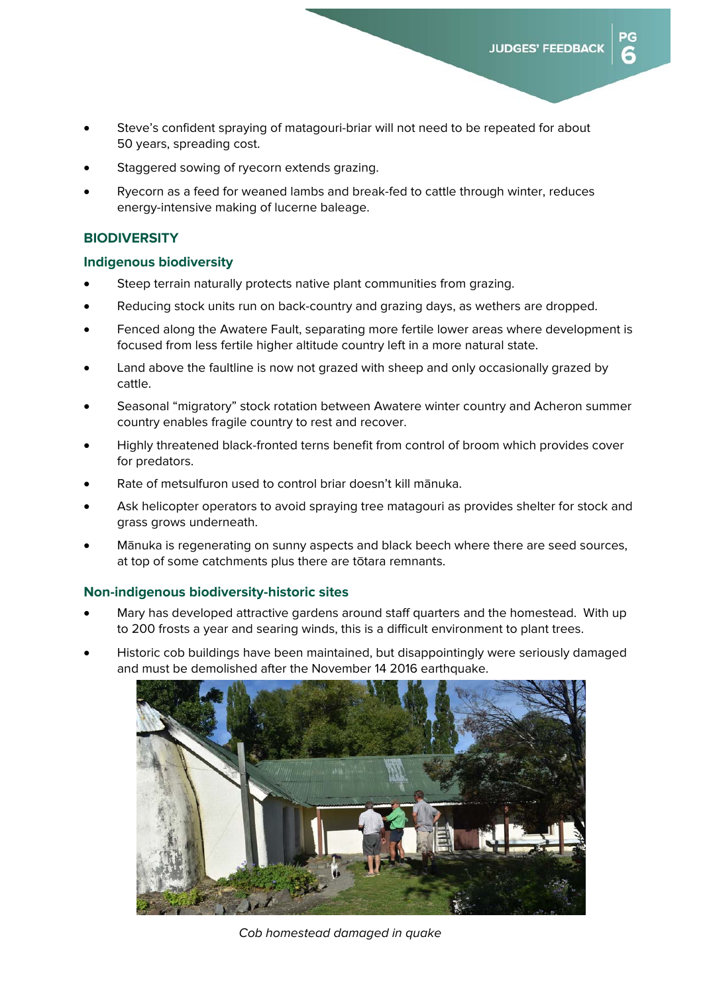$P G$ 

ี

- Steve's confident spraying of matagouri-briar will not need to be repeated for about 50 years, spreading cost.
- Staggered sowing of ryecorn extends grazing.
- Ryecorn as a feed for weaned lambs and break-fed to cattle through winter, reduces energy-intensive making of lucerne baleage.

#### **BIODIVERSITY**

#### **Indigenous biodiversity**

- Steep terrain naturally protects native plant communities from grazing.
- Reducing stock units run on back-country and grazing days, as wethers are dropped.
- Fenced along the Awatere Fault, separating more fertile lower areas where development is focused from less fertile higher altitude country left in a more natural state.
- Land above the faultline is now not grazed with sheep and only occasionally grazed by cattle.
- Seasonal "migratory" stock rotation between Awatere winter country and Acheron summer country enables fragile country to rest and recover.
- Highly threatened black-fronted terns benefit from control of broom which provides cover for predators.
- Rate of metsulfuron used to control briar doesn't kill mānuka.
- Ask helicopter operators to avoid spraying tree matagouri as provides shelter for stock and grass grows underneath.
- Mānuka is regenerating on sunny aspects and black beech where there are seed sources, at top of some catchments plus there are tōtara remnants.

#### **Non-indigenous biodiversity-historic sites**

- Mary has developed attractive gardens around staff quarters and the homestead. With up to 200 frosts a year and searing winds, this is a difficult environment to plant trees.
- Historic cob buildings have been maintained, but disappointingly were seriously damaged and must be demolished after the November 14 2016 earthquake.



*Cob homestead damaged in quake*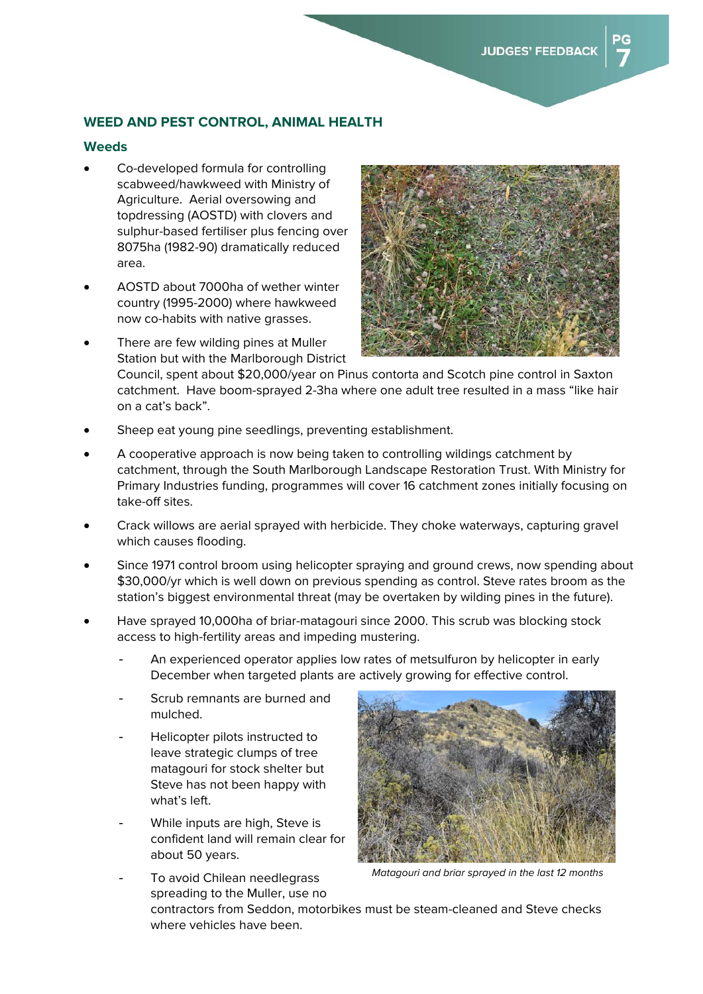# **WEED AND PEST CONTROL, ANIMAL HEALTH**

#### **Weeds**

- Co-developed formula for controlling scabweed/hawkweed with Ministry of Agriculture. Aerial oversowing and topdressing (AOSTD) with clovers and sulphur-based fertiliser plus fencing over 8075ha (1982-90) dramatically reduced area.
- AOSTD about 7000ha of wether winter country (1995-2000) where hawkweed now co-habits with native grasses.
- There are few wilding pines at Muller Station but with the Marlborough District



Council, spent about \$20,000/year on Pinus contorta and Scotch pine control in Saxton catchment. Have boom-sprayed 2-3ha where one adult tree resulted in a mass "like hair on a cat's back".

- Sheep eat young pine seedlings, preventing establishment.
- A cooperative approach is now being taken to controlling wildings catchment by catchment, through the South Marlborough Landscape Restoration Trust. With Ministry for Primary Industries funding, programmes will cover 16 catchment zones initially focusing on take-off sites.
- Crack willows are aerial sprayed with herbicide. They choke waterways, capturing gravel which causes flooding.
- Since 1971 control broom using helicopter spraying and ground crews, now spending about \$30,000/yr which is well down on previous spending as control. Steve rates broom as the station's biggest environmental threat (may be overtaken by wilding pines in the future).
- Have sprayed 10,000ha of briar-matagouri since 2000. This scrub was blocking stock access to high-fertility areas and impeding mustering.
	- An experienced operator applies low rates of metsulfuron by helicopter in early December when targeted plants are actively growing for effective control.
	- Scrub remnants are burned and mulched.
	- Helicopter pilots instructed to leave strategic clumps of tree matagouri for stock shelter but Steve has not been happy with what's left.
	- While inputs are high, Steve is confident land will remain clear for about 50 years.

To avoid Chilean needlegrass



*Matagouri and briar sprayed in the last 12 months* 

spreading to the Muller, use no contractors from Seddon, motorbikes must be steam-cleaned and Steve checks where vehicles have been.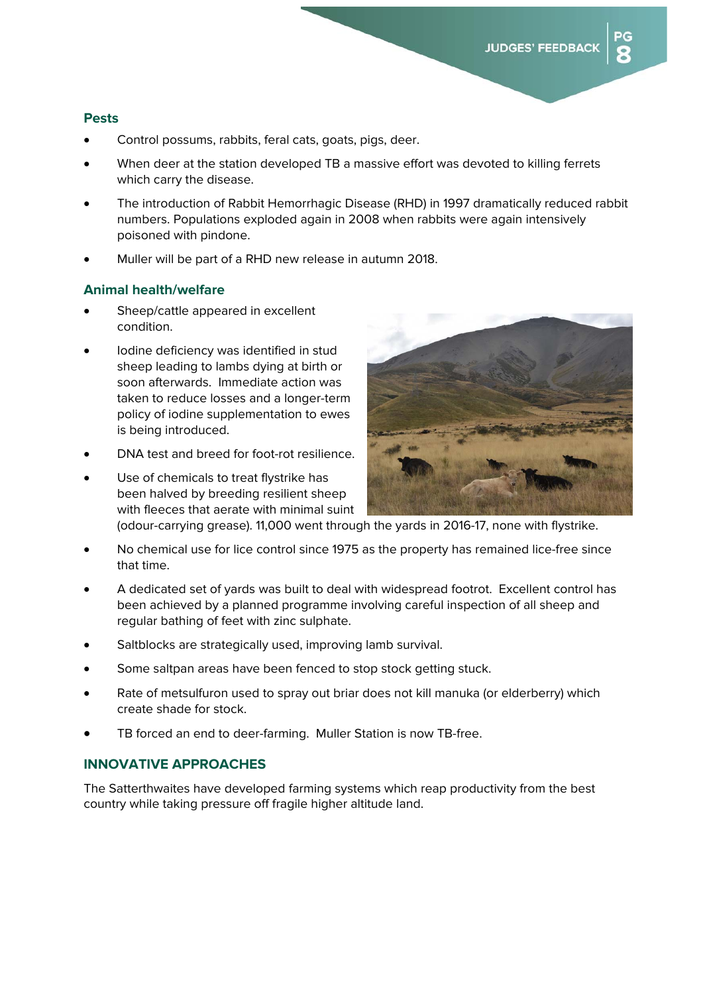#### **Pests**

- Control possums, rabbits, feral cats, goats, pigs, deer.
- When deer at the station developed TB a massive effort was devoted to killing ferrets which carry the disease.
- The introduction of Rabbit Hemorrhagic Disease (RHD) in 1997 dramatically reduced rabbit numbers. Populations exploded again in 2008 when rabbits were again intensively poisoned with pindone.
- Muller will be part of a RHD new release in autumn 2018.

#### **Animal health/welfare**

- Sheep/cattle appeared in excellent condition.
- Iodine deficiency was identified in stud sheep leading to lambs dying at birth or soon afterwards. Immediate action was taken to reduce losses and a longer-term policy of iodine supplementation to ewes is being introduced.
- DNA test and breed for foot-rot resilience.
- Use of chemicals to treat flystrike has been halved by breeding resilient sheep with fleeces that aerate with minimal suint



(odour-carrying grease). 11,000 went through the yards in 2016-17, none with flystrike.

- No chemical use for lice control since 1975 as the property has remained lice-free since that time.
- A dedicated set of yards was built to deal with widespread footrot. Excellent control has been achieved by a planned programme involving careful inspection of all sheep and regular bathing of feet with zinc sulphate.
- Saltblocks are strategically used, improving lamb survival.
- Some saltpan areas have been fenced to stop stock getting stuck.
- Rate of metsulfuron used to spray out briar does not kill manuka (or elderberry) which create shade for stock.
- TB forced an end to deer-farming. Muller Station is now TB-free.

# **INNOVATIVE APPROACHES**

The Satterthwaites have developed farming systems which reap productivity from the best country while taking pressure off fragile higher altitude land.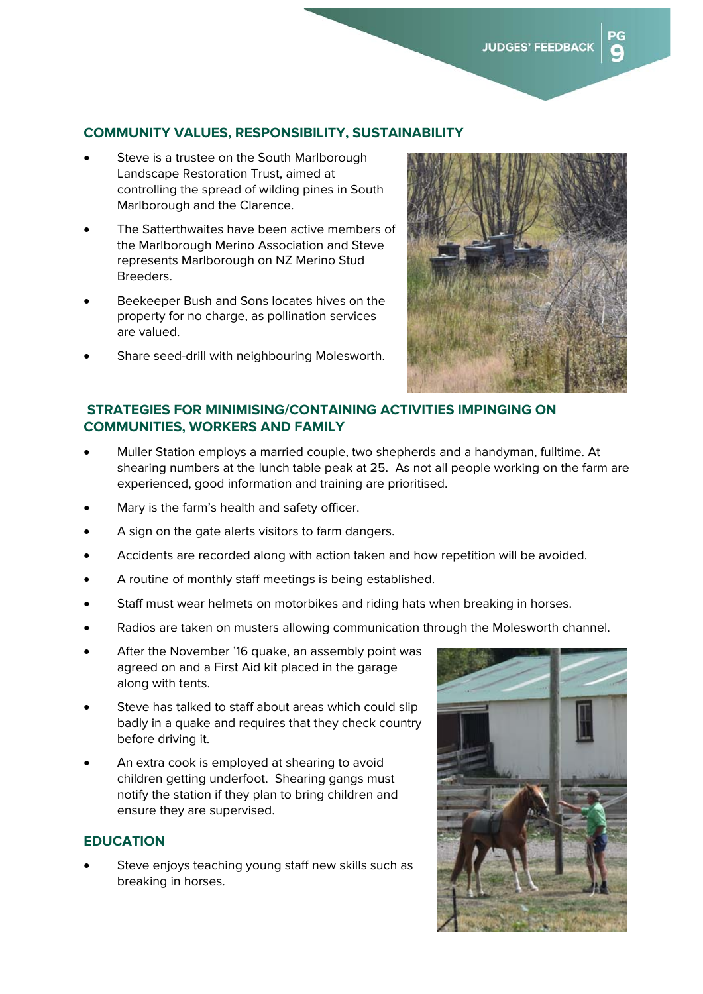#### **COMMUNITY VALUES, RESPONSIBILITY, SUSTAINABILITY**

- Steve is a trustee on the South Marlborough Landscape Restoration Trust, aimed at controlling the spread of wilding pines in South Marlborough and the Clarence.
- The Satterthwaites have been active members of the Marlborough Merino Association and Steve represents Marlborough on NZ Merino Stud Breeders.
- Beekeeper Bush and Sons locates hives on the property for no charge, as pollination services are valued.
- Share seed-drill with neighbouring Molesworth.



# **STRATEGIES FOR MINIMISING/CONTAINING ACTIVITIES IMPINGING ON COMMUNITIES, WORKERS AND FAMILY**

- Muller Station employs a married couple, two shepherds and a handyman, fulltime. At shearing numbers at the lunch table peak at 25. As not all people working on the farm are experienced, good information and training are prioritised.
- Mary is the farm's health and safety officer.
- A sign on the gate alerts visitors to farm dangers.
- Accidents are recorded along with action taken and how repetition will be avoided.
- A routine of monthly staff meetings is being established.
- Staff must wear helmets on motorbikes and riding hats when breaking in horses.
- Radios are taken on musters allowing communication through the Molesworth channel.
- After the November '16 quake, an assembly point was agreed on and a First Aid kit placed in the garage along with tents.
- Steve has talked to staff about areas which could slip badly in a quake and requires that they check country before driving it.
- An extra cook is employed at shearing to avoid children getting underfoot. Shearing gangs must notify the station if they plan to bring children and ensure they are supervised.

#### **EDUCATION**

 Steve enjoys teaching young staff new skills such as breaking in horses.

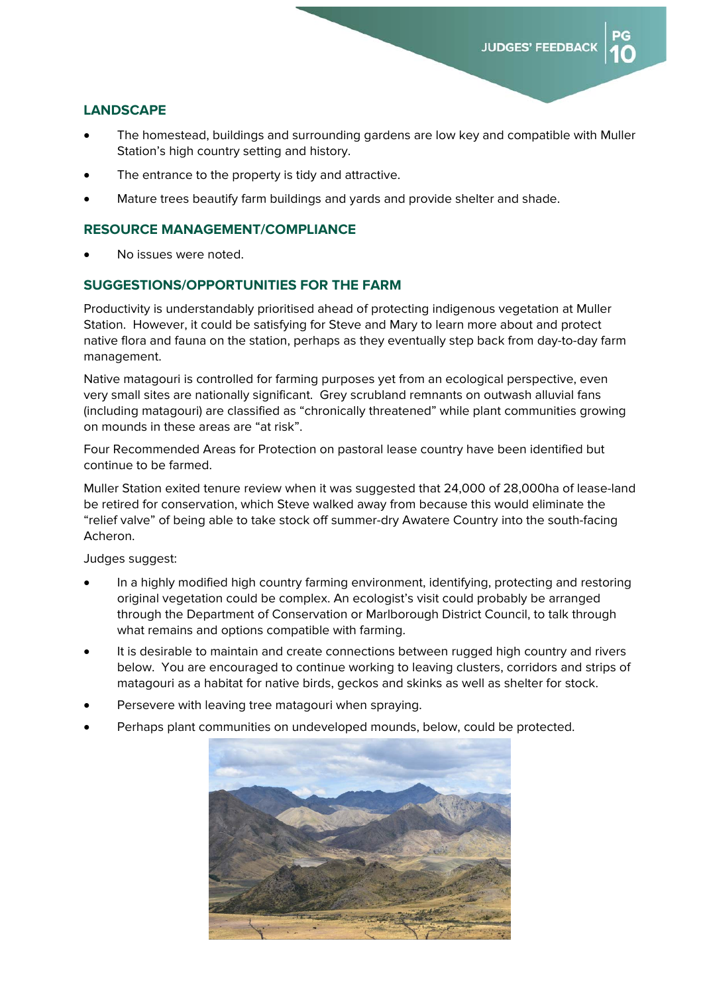### **LANDSCAPE**

- The homestead, buildings and surrounding gardens are low key and compatible with Muller Station's high country setting and history.
- The entrance to the property is tidy and attractive.
- Mature trees beautify farm buildings and yards and provide shelter and shade.

#### **RESOURCE MANAGEMENT/COMPLIANCE**

No issues were noted.

#### **SUGGESTIONS/OPPORTUNITIES FOR THE FARM**

Productivity is understandably prioritised ahead of protecting indigenous vegetation at Muller Station. However, it could be satisfying for Steve and Mary to learn more about and protect native flora and fauna on the station, perhaps as they eventually step back from day-to-day farm management.

Native matagouri is controlled for farming purposes yet from an ecological perspective, even very small sites are nationally significant. Grey scrubland remnants on outwash alluvial fans (including matagouri) are classified as "chronically threatened" while plant communities growing on mounds in these areas are "at risk".

Four Recommended Areas for Protection on pastoral lease country have been identified but continue to be farmed.

Muller Station exited tenure review when it was suggested that 24,000 of 28,000ha of lease-land be retired for conservation, which Steve walked away from because this would eliminate the "relief valve" of being able to take stock off summer-dry Awatere Country into the south-facing Acheron.

Judges suggest:

- In a highly modified high country farming environment, identifying, protecting and restoring original vegetation could be complex. An ecologist's visit could probably be arranged through the Department of Conservation or Marlborough District Council, to talk through what remains and options compatible with farming.
- It is desirable to maintain and create connections between rugged high country and rivers below. You are encouraged to continue working to leaving clusters, corridors and strips of matagouri as a habitat for native birds, geckos and skinks as well as shelter for stock.
- Persevere with leaving tree matagouri when spraying.
- Perhaps plant communities on undeveloped mounds, below, could be protected.